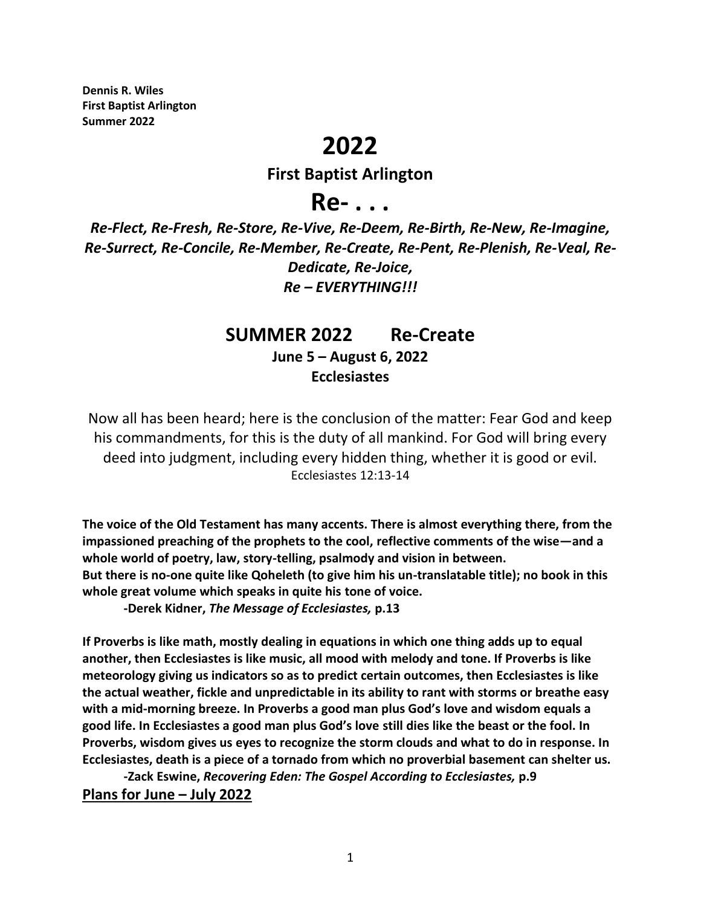**Dennis R. Wiles First Baptist Arlington Summer 2022**

## **2022**

## **First Baptist Arlington**

## **Re- . . .**

*Re-Flect, Re-Fresh, Re-Store, Re-Vive, Re-Deem, Re-Birth, Re-New, Re-Imagine, Re-Surrect, Re-Concile, Re-Member, Re-Create, Re-Pent, Re-Plenish, Re-Veal, Re-Dedicate, Re-Joice, Re – EVERYTHING!!!*

## **SUMMER 2022 Re-Create**

**June 5 – August 6, 2022 Ecclesiastes**

Now all has been heard; here is the conclusion of the matter: Fear God and keep his commandments, for this is the duty of all mankind. For God will bring every deed into judgment, including every hidden thing, whether it is good or evil. Ecclesiastes 12:13-14

**The voice of the Old Testament has many accents. There is almost everything there, from the impassioned preaching of the prophets to the cool, reflective comments of the wise—and a whole world of poetry, law, story-telling, psalmody and vision in between. But there is no-one quite like Qoheleth (to give him his un-translatable title); no book in this whole great volume which speaks in quite his tone of voice.**

**-Derek Kidner,** *The Message of Ecclesiastes,* **p.13**

**If Proverbs is like math, mostly dealing in equations in which one thing adds up to equal another, then Ecclesiastes is like music, all mood with melody and tone. If Proverbs is like meteorology giving us indicators so as to predict certain outcomes, then Ecclesiastes is like the actual weather, fickle and unpredictable in its ability to rant with storms or breathe easy with a mid-morning breeze. In Proverbs a good man plus God's love and wisdom equals a good life. In Ecclesiastes a good man plus God's love still dies like the beast or the fool. In Proverbs, wisdom gives us eyes to recognize the storm clouds and what to do in response. In Ecclesiastes, death is a piece of a tornado from which no proverbial basement can shelter us.**

**-Zack Eswine,** *Recovering Eden: The Gospel According to Ecclesiastes,* **p.9 Plans for June – July 2022**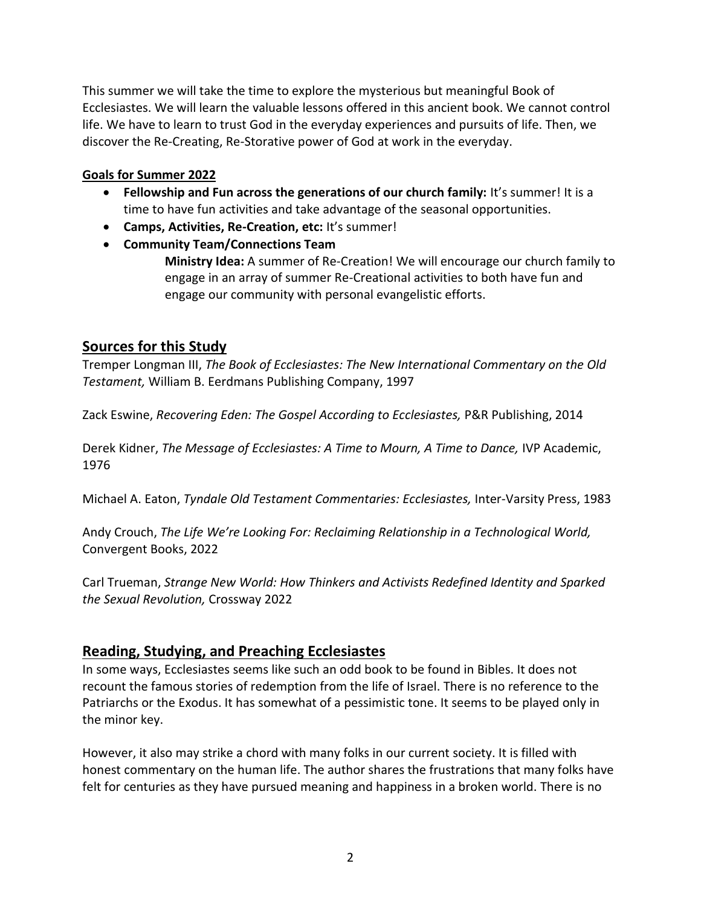This summer we will take the time to explore the mysterious but meaningful Book of Ecclesiastes. We will learn the valuable lessons offered in this ancient book. We cannot control life. We have to learn to trust God in the everyday experiences and pursuits of life. Then, we discover the Re-Creating, Re-Storative power of God at work in the everyday.

#### **Goals for Summer 2022**

- Fellowship and Fun across the generations of our church family: It's summer! It is a time to have fun activities and take advantage of the seasonal opportunities.
- **Camps, Activities, Re-Creation, etc:** It's summer!
- **Community Team/Connections Team**

**Ministry Idea:** A summer of Re-Creation! We will encourage our church family to engage in an array of summer Re-Creational activities to both have fun and engage our community with personal evangelistic efforts.

#### **Sources for this Study**

Tremper Longman III, *The Book of Ecclesiastes: The New International Commentary on the Old Testament,* William B. Eerdmans Publishing Company, 1997

Zack Eswine, *Recovering Eden: The Gospel According to Ecclesiastes,* P&R Publishing, 2014

Derek Kidner, *The Message of Ecclesiastes: A Time to Mourn, A Time to Dance,* IVP Academic, 1976

Michael A. Eaton, *Tyndale Old Testament Commentaries: Ecclesiastes,* Inter-Varsity Press, 1983

Andy Crouch, *The Life We're Looking For: Reclaiming Relationship in a Technological World,*  Convergent Books, 2022

Carl Trueman, *Strange New World: How Thinkers and Activists Redefined Identity and Sparked the Sexual Revolution,* Crossway 2022

#### **Reading, Studying, and Preaching Ecclesiastes**

In some ways, Ecclesiastes seems like such an odd book to be found in Bibles. It does not recount the famous stories of redemption from the life of Israel. There is no reference to the Patriarchs or the Exodus. It has somewhat of a pessimistic tone. It seems to be played only in the minor key.

However, it also may strike a chord with many folks in our current society. It is filled with honest commentary on the human life. The author shares the frustrations that many folks have felt for centuries as they have pursued meaning and happiness in a broken world. There is no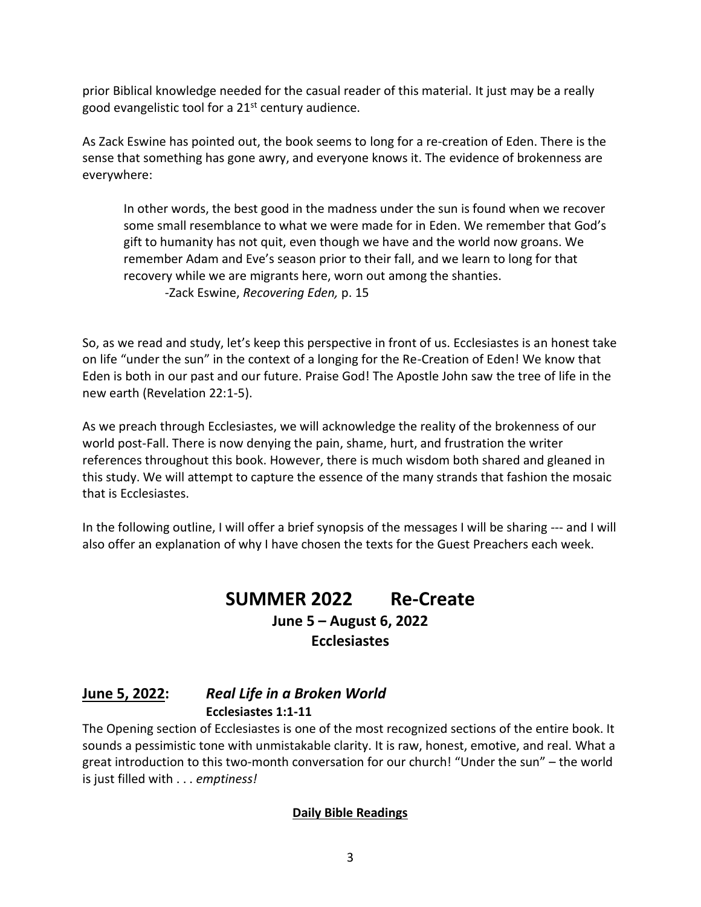prior Biblical knowledge needed for the casual reader of this material. It just may be a really good evangelistic tool for a 21st century audience.

As Zack Eswine has pointed out, the book seems to long for a re-creation of Eden. There is the sense that something has gone awry, and everyone knows it. The evidence of brokenness are everywhere:

In other words, the best good in the madness under the sun is found when we recover some small resemblance to what we were made for in Eden. We remember that God's gift to humanity has not quit, even though we have and the world now groans. We remember Adam and Eve's season prior to their fall, and we learn to long for that recovery while we are migrants here, worn out among the shanties.

-Zack Eswine, *Recovering Eden,* p. 15

So, as we read and study, let's keep this perspective in front of us. Ecclesiastes is an honest take on life "under the sun" in the context of a longing for the Re-Creation of Eden! We know that Eden is both in our past and our future. Praise God! The Apostle John saw the tree of life in the new earth (Revelation 22:1-5).

As we preach through Ecclesiastes, we will acknowledge the reality of the brokenness of our world post-Fall. There is now denying the pain, shame, hurt, and frustration the writer references throughout this book. However, there is much wisdom both shared and gleaned in this study. We will attempt to capture the essence of the many strands that fashion the mosaic that is Ecclesiastes.

In the following outline, I will offer a brief synopsis of the messages I will be sharing --- and I will also offer an explanation of why I have chosen the texts for the Guest Preachers each week.

## **SUMMER 2022 Re-Create June 5 – August 6, 2022 Ecclesiastes**

## **June 5, 2022:** *Real Life in a Broken World* **Ecclesiastes 1:1-11**

The Opening section of Ecclesiastes is one of the most recognized sections of the entire book. It sounds a pessimistic tone with unmistakable clarity. It is raw, honest, emotive, and real. What a great introduction to this two-month conversation for our church! "Under the sun" – the world is just filled with . . . *emptiness!*

#### **Daily Bible Readings**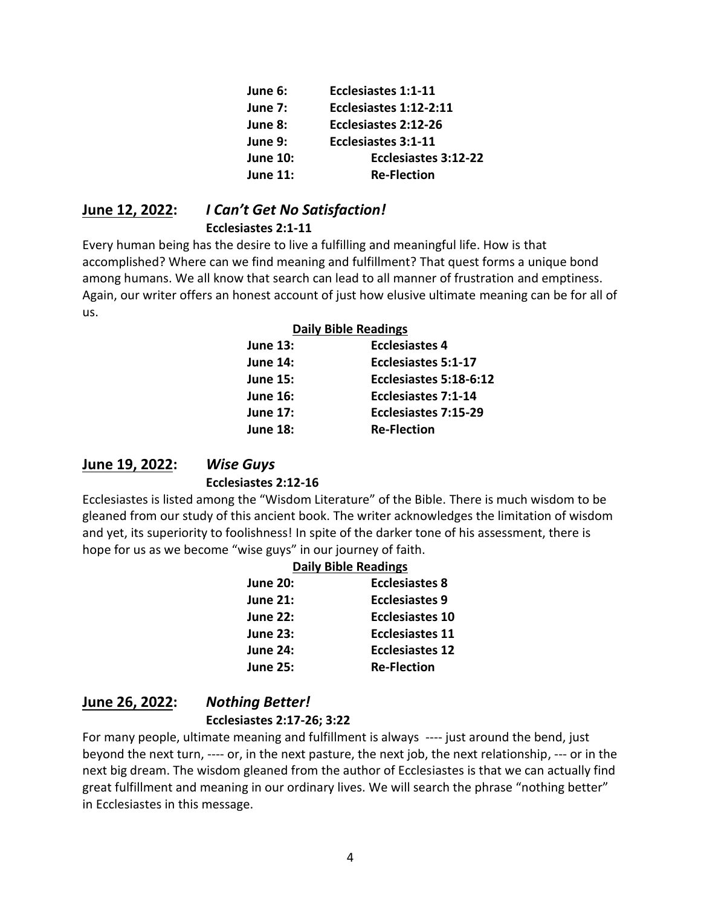| June 6:         | Ecclesiastes 1:1-11        |
|-----------------|----------------------------|
| June 7:         | Ecclesiastes 1:12-2:11     |
| June 8:         | Ecclesiastes 2:12-26       |
| June 9:         | <b>Ecclesiastes 3:1-11</b> |
| <b>June 10:</b> | Ecclesiastes 3:12-22       |
| <b>June 11:</b> | <b>Re-Flection</b>         |

# **June 12, 2022:** *I Can't Get No Satisfaction!*

#### **Ecclesiastes 2:1-11**

Every human being has the desire to live a fulfilling and meaningful life. How is that accomplished? Where can we find meaning and fulfillment? That quest forms a unique bond among humans. We all know that search can lead to all manner of frustration and emptiness. Again, our writer offers an honest account of just how elusive ultimate meaning can be for all of us.

#### **Daily Bible Readings**

| <b>June 13:</b> | <b>Ecclesiastes 4</b>      |
|-----------------|----------------------------|
| <b>June 14:</b> | Ecclesiastes 5:1-17        |
| <b>June 15:</b> | Ecclesiastes 5:18-6:12     |
| <b>June 16:</b> | <b>Ecclesiastes 7:1-14</b> |
| <b>June 17:</b> | Ecclesiastes 7:15-29       |
| <b>June 18:</b> | <b>Re-Flection</b>         |
|                 |                            |

#### **June 19, 2022:** *Wise Guys* **Ecclesiastes 2:12-16**

Ecclesiastes is listed among the "Wisdom Literature" of the Bible. There is much wisdom to be gleaned from our study of this ancient book. The writer acknowledges the limitation of wisdom and yet, its superiority to foolishness! In spite of the darker tone of his assessment, there is hope for us as we become "wise guys" in our journey of faith.

#### **Daily Bible Readings**

| <b>June 20:</b> | <b>Ecclesiastes 8</b>  |
|-----------------|------------------------|
| <b>June 21:</b> | <b>Ecclesiastes 9</b>  |
| <b>June 22:</b> | <b>Ecclesiastes 10</b> |
| <b>June 23:</b> | Ecclesiastes 11        |
| <b>June 24:</b> | <b>Ecclesiastes 12</b> |
| <b>June 25:</b> | <b>Re-Flection</b>     |

## **June 26, 2022:** *Nothing Better!* **Ecclesiastes 2:17-26; 3:22**

For many people, ultimate meaning and fulfillment is always ---- just around the bend, just beyond the next turn, ---- or, in the next pasture, the next job, the next relationship, --- or in the next big dream. The wisdom gleaned from the author of Ecclesiastes is that we can actually find great fulfillment and meaning in our ordinary lives. We will search the phrase "nothing better" in Ecclesiastes in this message.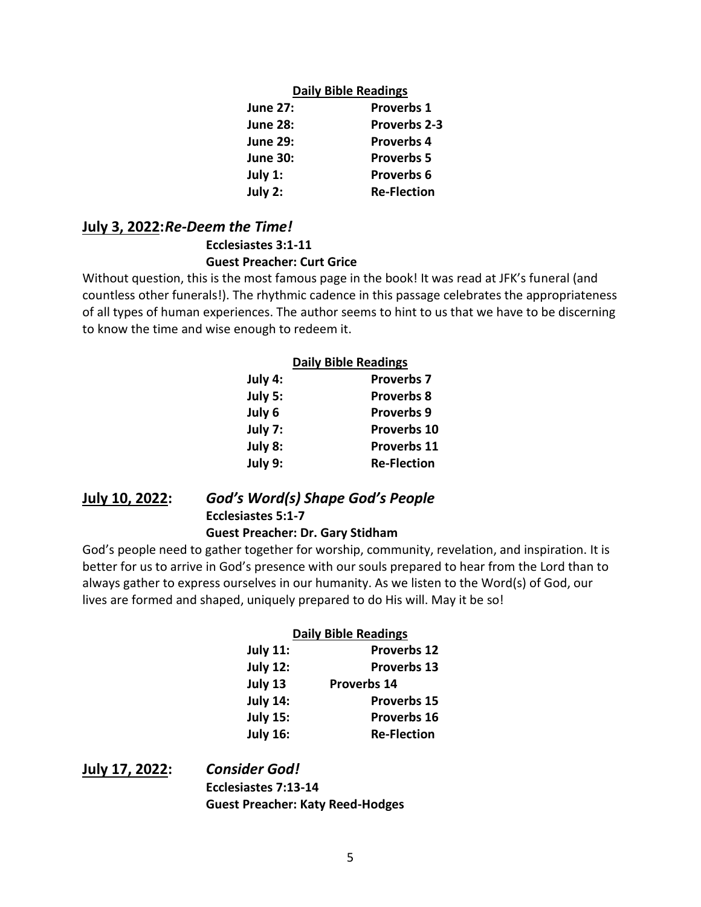#### **Daily Bible Readings**

| <b>June 27:</b> | <b>Proverbs 1</b>   |
|-----------------|---------------------|
| <b>June 28:</b> | <b>Proverbs 2-3</b> |
| <b>June 29:</b> | <b>Proverbs 4</b>   |
| <b>June 30:</b> | <b>Proverbs 5</b>   |
| July 1:         | <b>Proverbs 6</b>   |
| July 2:         | <b>Re-Flection</b>  |

#### **July 3, 2022:***Re-Deem the Time!* **Ecclesiastes 3:1-11 Guest Preacher: Curt Grice**

Without question, this is the most famous page in the book! It was read at JFK's funeral (and countless other funerals!). The rhythmic cadence in this passage celebrates the appropriateness of all types of human experiences. The author seems to hint to us that we have to be discerning to know the time and wise enough to redeem it.

| <b>Daily Bible Readings</b> |                    |  |
|-----------------------------|--------------------|--|
| July 4:                     | <b>Proverbs 7</b>  |  |
| July 5:                     | <b>Proverbs 8</b>  |  |
| July 6                      | <b>Proverbs 9</b>  |  |
| July 7:                     | <b>Proverbs 10</b> |  |
| July 8:                     | <b>Proverbs 11</b> |  |
| July 9:                     | <b>Re-Flection</b> |  |

**July 10, 2022:** *God's Word(s) Shape God's People* **Ecclesiastes 5:1-7 Guest Preacher: Dr. Gary Stidham**

God's people need to gather together for worship, community, revelation, and inspiration. It is better for us to arrive in God's presence with our souls prepared to hear from the Lord than to always gather to express ourselves in our humanity. As we listen to the Word(s) of God, our lives are formed and shaped, uniquely prepared to do His will. May it be so!

#### **Daily Bible Readings**

| <b>July 11:</b> | <b>Proverbs 12</b> |
|-----------------|--------------------|
| <b>July 12:</b> | <b>Proverbs 13</b> |
| July 13         | Proverbs 14        |
| <b>July 14:</b> | <b>Proverbs 15</b> |
| <b>July 15:</b> | <b>Proverbs 16</b> |
| <b>July 16:</b> | <b>Re-Flection</b> |

**July 17, 2022:** *Consider God!* **Ecclesiastes 7:13-14 Guest Preacher: Katy Reed-Hodges**